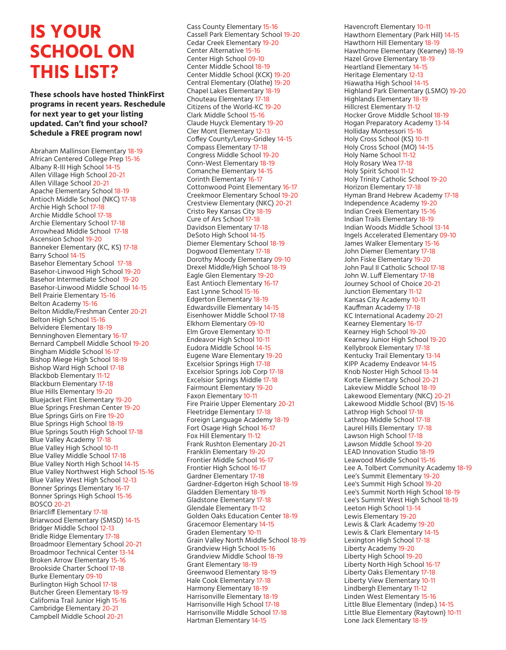## **IS YOUR SCHOOL ON THIS LIST?**

**These schools have hosted ThinkFirst programs in recent years. Reschedule for next year to get your listing updated. Can't find your school? Schedule a FREE program now!**

Abraham Mallinson Elementary 18-19 African Centered College Prep 15-16 Albany R-III High School 14-15 Allen Village High School 20-21 Allen Village School 20-21 Apache Elementary School 18-19 Antioch Middle School (NKC) 17-18 Archie High School 17-18 Archie Middle School 17-18 Archie Elementary School 17-18 Arrowhead Middle School 17-18 Ascension School 19-20 Banneker Elementary (KC, KS) 17-18 Barry School 14-15 Basehor Elementary School 17-18 Basehor-Linwood High School 19-20 Basehor Intermediate School 19-20 Basehor-Linwood Middle School 14-15 Bell Prairie Elementary 15-16 Belton Academy 15-16 Belton Middle/Freshman Center 20-21 Belton High School 15-16 Belvidere Elementary 18-19 Benninghoven Elementary 16-17 Bernard Campbell Middle School 19-20 Bingham Middle School 16-17 Bishop Miege High School 18-19 Bishop Ward High School 17-18 Blackbob Elementary 11-12 Blackburn Elementary 17-18 Blue Hills Elementary 19-20 Bluejacket Flint Elementary 19-20 Blue Springs Freshman Center 19-20 Blue Springs Girls on Fire 19-20 Blue Springs High School 18-19 Blue Springs South High School 17-18 Blue Valley Academy 17-18 Blue Valley High School 10-11 Blue Valley Middle School 17-18 Blue Valley North High School 14-15 Blue Valley Northwest High School 15-16 Blue Valley West High School 12-13 Bonner Springs Elementary 16-17 Bonner Springs High School 15-16 BOSCO 20-21 Briarcliff Elementary 17-18 Briarwood Elementary (SMSD) 14-15 Bridger Middle School 12-13 Bridle Ridge Elementary 17-18 Broadmoor Elementary School 20-21 Broadmoor Technical Center 13-14 Broken Arrow Elementary 15-16 Brookside Charter School 17-18 Burke Elementary 09-10 Burlington High School 17-18 Butcher Green Elementary 18-19 California Trail Junior High 15-16 Cambridge Elementary 20-21 Campbell Middle School 20-21

Cass County Elementary 15-16 Cassell Park Elementary School 19-20 Cedar Creek Elementary 19-20 Center Alternative 15-16 Center High School 09-10 Center Middle School 18-19 Center Middle School (KCK) 19-20 Central Elementary (Olathe) 19-20 Chapel Lakes Elementary 18-19 Chouteau Elementary 17-18 Citizens of the World-KC 19-20 Clark Middle School 15-16 Claude Huyck Elementary 19-20 Cler Mont Elementary 12-13 Coffey County/Leroy-Gridley 14-15 Compass Elementary 17-18 Congress Middle School 19-20 Conn-West Elementary 18-19 Comanche Elementary 14-15 Corinth Elementary 16-17 Cottonwood Point Elementary 16-17 Creekmoor Elementary School 19-20 Crestview Elementary (NKC) 20-21 Cristo Rey Kansas City 18-19 Cure of Ars School 17-18 Davidson Elementary 17-18 DeSoto High School 14-15 Diemer Elementary School 18-19 Dogwood Elementary 17-18 Dorothy Moody Elementary 09-10 Drexel Middle/High School 18-19 Eagle Glen Elementary 19-20 East Antioch Elementary 16-17 East Lynne School 15-16 Edgerton Elementary 18-19 Edwardsville Elementary 14-15 Eisenhower Middle School 17-18 Elkhorn Elementary 09-10 Elm Grove Elementary 10-11 Endeavor High School 10-11 Eudora Middle School 14-15 Eugene Ware Elementary 19-20 Excelsior Springs High 17-18 Excelsior Springs Job Corp 17-18 Excelsior Springs Middle 17-18 Fairmount Elementary 19-20 Faxon Elementary 10-11 Fire Prairie Upper Elementary 20-21 Fleetridge Elementary 17-18 Foreign Language Academy 18-19 Fort Osage High School 16-17 Fox Hill Elementary 11-12 Frank Rushton Elementary 20-21 Franklin Elementary 19-20 Frontier Middle School 16-17 Frontier High School 16-17 Gardner Elementary 17-18 Gardner-Edgerton High School 18-19 Gladden Elementary 18-19 Gladstone Elementary 17-18 Glendale Elementary 11-12 Golden Oaks Education Center 18-19 Gracemoor Elementary 14-15 Graden Elementary 10-11 Grain Valley North Middle School 18-19 Grandview High School 15-16 Grandview Middle School 18-19 Grant Elementary 18-19 Greenwood Elementary 18-19 Hale Cook Elementary 17-18 Harmony Elementary 18-19 Harrisonville Elementary 18-19 Harrisonville High School 17-18 Harrisonville Middle School 17-18 Hartman Elementary 14-15

Havencroft Elementary 10-11 Hawthorn Elementary (Park Hill) 14-15 Hawthorn Hill Elementary 18-19 Hawthorne Elementary (Kearney) 18-19 Hazel Grove Elementary 18-19 Heartland Elementary 14-15 Heritage Elementary 12-13 Hiawatha High School 14-15 Highland Park Elementary (LSMO) 19-20 Highlands Elementary 18-19 Hillcrest Elementary 11-12 Hocker Grove Middle School 18-19 Hogan Preparatory Academy 13-14 Holliday Montessori 15-16 Holy Cross School (KS) 10-11 Holy Cross School (MO) 14-15 Holy Name School 11-12 Holy Rosary Wea 17-18 Holy Spirit School 11-12 Holy Trinity Catholic School 19-20 Horizon Elementary 17-18 Hyman Brand Hebrew Academy 17-18 Independence Academy 19-20 Indian Creek Elementary 15-16 Indian Trails Elementary 18-19 Indian Woods Middle School 13-14 Ingels Accelerated Elementary 09-10 James Walker Elementary 15-16 John Diemer Elementary 17-18 John Fiske Elementary 19-20 John Paul II Catholic School 17-18 John W. Luff Elementary 17-18 Journey School of Choice 20-21 Junction Elementary 11-12 Kansas City Academy 10-11 Kauffman Academy 17-18 KC International Academy 20-21 Kearney Elementary 16-17 Kearney High School 19-20 Kearney Junior High School 19-20 Kellybrook Elementary 17-18 Kentucky Trail Elementary 13-14 KIPP Academy Endeavor 14-15 Knob Noster High School 13-14 Korte Elementary School 20-21 Lakeview Middle School 18-19 Lakewood Elementary (NKC) 20-21 Lakewood Middle School (BV) 15-16 Lathrop High School 17-18 Lathrop Middle School 17-18 Laurel Hills Elementary 17-18 Lawson High School 17-18 Lawson Middle School 19-20 LEAD Innovation Studio 18-19 Leawood Middle School 15-16 Lee A. Tolbert Community Academy 18-19 Lee's Summit Elementary 19-20 Lee's Summit High School 19-20 Lee's Summit North High School 18-19 Lee's Summit West High School 18-19 Leeton High School 13-14 Lewis Elementary 19-20 Lewis & Clark Academy 19-20 Lewis & Clark Elementary 14-15 Lexington High School 17-18 Liberty Academy 19-20 Liberty High School 19-20 Liberty North High School 16-17 Liberty Oaks Elementary 17-18 Liberty View Elementary 10-11 Lindbergh Elementary 11-12 Linden West Elementary 15-16 Little Blue Elementary (Indep.) 14-15 Little Blue Elementary (Raytown) 10-11 Lone Jack Elementary 18-19